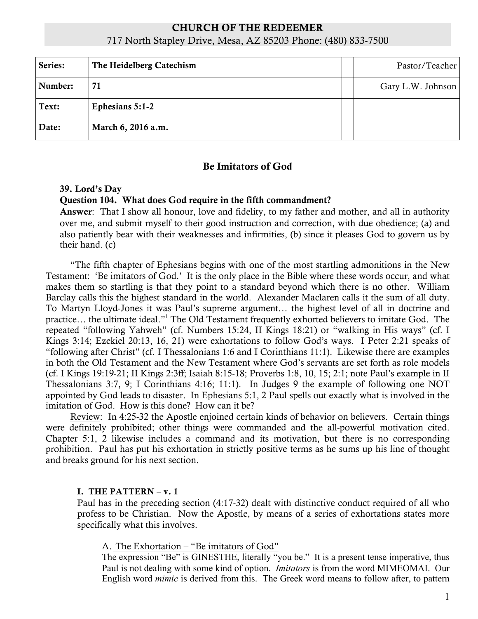# CHURCH OF THE REDEEMER 717 North Stapley Drive, Mesa, AZ 85203 Phone: (480) 833-7500

| Series: | The Heidelberg Catechism | Pastor/Teacher    |
|---------|--------------------------|-------------------|
| Number: | 71                       | Gary L.W. Johnson |
| Text:   | Ephesians 5:1-2          |                   |
| Date:   | March 6, 2016 a.m.       |                   |

# Be Imitators of God

### 39. Lord's Day

## Question 104. What does God require in the fifth commandment?

Answer: That I show all honour, love and fidelity, to my father and mother, and all in authority over me, and submit myself to their good instruction and correction, with due obedience; (a) and also patiently bear with their weaknesses and infirmities, (b) since it pleases God to govern us by their hand. (c)

"The fifth chapter of Ephesians begins with one of the most startling admonitions in the New Testament: 'Be imitators of God.' It is the only place in the Bible where these words occur, and what makes them so startling is that they point to a standard beyond which there is no other. William Barclay calls this the highest standard in the world. Alexander Maclaren calls it the sum of all duty. To Martyn Lloyd-Jones it was Paul's supreme argument… the highest level of all in doctrine and practice… the ultimate ideal."1 The Old Testament frequently exhorted believers to imitate God. The repeated "following Yahweh" (cf. Numbers 15:24, II Kings 18:21) or "walking in His ways" (cf. I Kings 3:14; Ezekiel 20:13, 16, 21) were exhortations to follow God's ways. I Peter 2:21 speaks of "following after Christ" (cf. I Thessalonians 1:6 and I Corinthians 11:1). Likewise there are examples in both the Old Testament and the New Testament where God's servants are set forth as role models (cf. I Kings 19:19-21; II Kings 2:3ff; Isaiah 8:15-18; Proverbs 1:8, 10, 15; 2:1; note Paul's example in II Thessalonians 3:7, 9; I Corinthians 4:16; 11:1). In Judges 9 the example of following one NOT appointed by God leads to disaster. In Ephesians 5:1, 2 Paul spells out exactly what is involved in the imitation of God. How is this done? How can it be?

Review: In 4:25-32 the Apostle enjoined certain kinds of behavior on believers. Certain things were definitely prohibited; other things were commanded and the all-powerful motivation cited. Chapter 5:1, 2 likewise includes a command and its motivation, but there is no corresponding prohibition. Paul has put his exhortation in strictly positive terms as he sums up his line of thought and breaks ground for his next section.

#### I. THE PATTERN – v. 1

Paul has in the preceding section (4:17-32) dealt with distinctive conduct required of all who profess to be Christian. Now the Apostle, by means of a series of exhortations states more specifically what this involves.

#### A. The Exhortation – "Be imitators of God"

The expression "Be" is GINESTHE, literally "you be." It is a present tense imperative, thus Paul is not dealing with some kind of option. *Imitators* is from the word MIMEOMAI. Our English word *mimic* is derived from this. The Greek word means to follow after, to pattern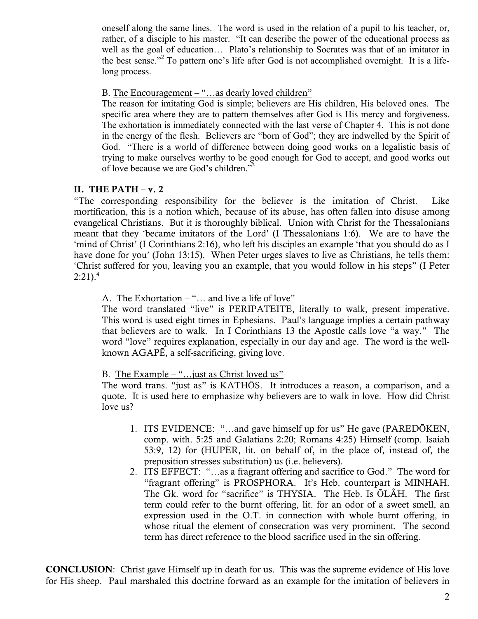oneself along the same lines. The word is used in the relation of a pupil to his teacher, or, rather, of a disciple to his master. "It can describe the power of the educational process as well as the goal of education… Plato's relationship to Socrates was that of an imitator in the best sense."<sup>2</sup> To pattern one's life after God is not accomplished overnight. It is a lifelong process.

### B. The Encouragement – "...as dearly loved children"

The reason for imitating God is simple; believers are His children, His beloved ones. The specific area where they are to pattern themselves after God is His mercy and forgiveness. The exhortation is immediately connected with the last verse of Chapter 4. This is not done in the energy of the flesh. Believers are "born of God"; they are indwelled by the Spirit of God. "There is a world of difference between doing good works on a legalistic basis of trying to make ourselves worthy to be good enough for God to accept, and good works out of love because we are God's children."<sup>3</sup>

## II. THE PATH $-v.2$

"The corresponding responsibility for the believer is the imitation of Christ. Like mortification, this is a notion which, because of its abuse, has often fallen into disuse among evangelical Christians. But it is thoroughly biblical. Union with Christ for the Thessalonians meant that they 'became imitators of the Lord' (I Thessalonians 1:6). We are to have the 'mind of Christ' (I Corinthians 2:16), who left his disciples an example 'that you should do as I have done for you' (John 13:15). When Peter urges slaves to live as Christians, he tells them: 'Christ suffered for you, leaving you an example, that you would follow in his steps" (I Peter  $2:21$ ).<sup>4</sup>

# A. The Exhortation – "... and live a life of love"

The word translated "live" is PERIPATEITE, literally to walk, present imperative. This word is used eight times in Ephesians. Paul's language implies a certain pathway that believers are to walk. In I Corinthians 13 the Apostle calls love "a way." The word "love" requires explanation, especially in our day and age. The word is the wellknown AGAPĒ, a self-sacrificing, giving love.

## B. The Example – "…just as Christ loved us"

The word trans. "just as" is KATHŌS. It introduces a reason, a comparison, and a quote. It is used here to emphasize why believers are to walk in love. How did Christ love us?

- 1. ITS EVIDENCE: "…and gave himself up for us" He gave (PAREDŌKEN, comp. with. 5:25 and Galatians 2:20; Romans 4:25) Himself (comp. Isaiah 53:9, 12) for (HUPER, lit. on behalf of, in the place of, instead of, the preposition stresses substitution) us (i.e. believers).
- 2. ITS EFFECT: "…as a fragrant offering and sacrifice to God." The word for "fragrant offering" is PROSPHORA. It's Heb. counterpart is MINHAH. The Gk. word for "sacrifice" is THYSIA. The Heb. Is ŌLÂH. The first term could refer to the burnt offering, lit. for an odor of a sweet smell, an expression used in the O.T. in connection with whole burnt offering, in whose ritual the element of consecration was very prominent. The second term has direct reference to the blood sacrifice used in the sin offering.

CONCLUSION: Christ gave Himself up in death for us. This was the supreme evidence of His love for His sheep. Paul marshaled this doctrine forward as an example for the imitation of believers in